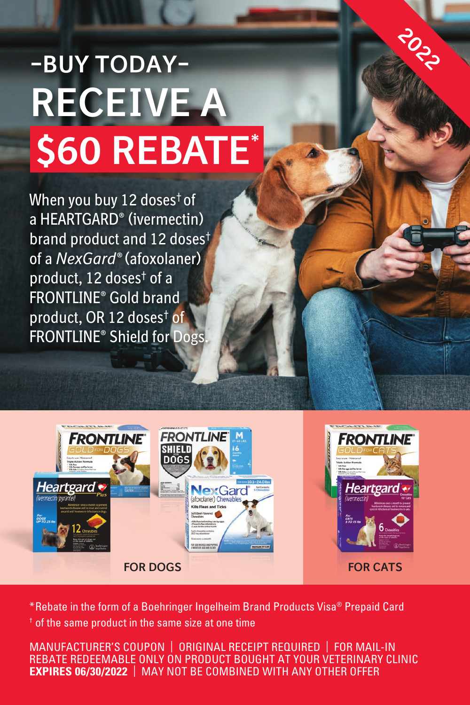## **—BUY TODAY— RECEIVE A \$60 REBATE\***

When you buy 12 doses† of a HEARTGARD® (ivermectin) brand product and 12 doses† of a *NexGard®* (afoxolaner) product, 12 doses† of a FRONTLINE® Gold brand product, OR 12 doses† of FRONTLINE® Shield for Dogs.





2022

 $<sup>†</sup>$  of the same product in the same size at one time</sup> \*Rebate in the form of a Boehringer Ingelheim Brand Products Visa® Prepaid Card

MANUFACTURER'S COUPON | ORIGINAL RECEIPT REQUIRED | FOR MAIL-IN REBATE REDEEMABLE ONLY ON PRODUCT BOUGHT AT YOUR VETERINARY CLINIC **EXPIRES 06/30/2022** | MAY NOT BE COMBINED WITH ANY OTHER OFFER